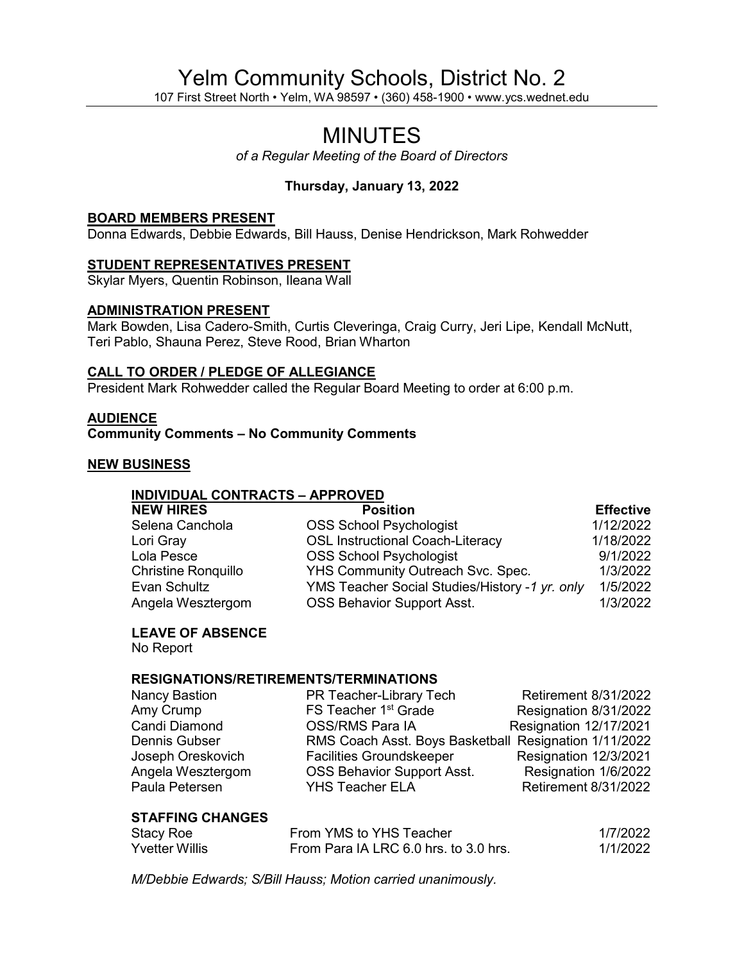## Yelm Community Schools, District No. 2

107 First Street North • Yelm, WA 98597 • (360) 458-1900 • www.ycs.wednet.edu

# MINUTES

*of a Regular Meeting of the Board of Directors*

### **Thursday, January 13, 2022**

#### **BOARD MEMBERS PRESENT**

Donna Edwards, Debbie Edwards, Bill Hauss, Denise Hendrickson, Mark Rohwedder

#### **STUDENT REPRESENTATIVES PRESENT**

Skylar Myers, Quentin Robinson, Ileana Wall

#### **ADMINISTRATION PRESENT**

Mark Bowden, Lisa Cadero-Smith, Curtis Cleveringa, Craig Curry, Jeri Lipe, Kendall McNutt, Teri Pablo, Shauna Perez, Steve Rood, Brian Wharton

#### **CALL TO ORDER / PLEDGE OF ALLEGIANCE**

President Mark Rohwedder called the Regular Board Meeting to order at 6:00 p.m.

#### **AUDIENCE**

**Community Comments – No Community Comments**

#### **NEW BUSINESS**

#### **INDIVIDUAL CONTRACTS – APPROVED**

| <b>NEW HIRES</b>           | <b>Position</b>                                | <b>Effective</b> |
|----------------------------|------------------------------------------------|------------------|
| Selena Canchola            | <b>OSS School Psychologist</b>                 | 1/12/2022        |
| Lori Gray                  | <b>OSL Instructional Coach-Literacy</b>        | 1/18/2022        |
| Lola Pesce                 | <b>OSS School Psychologist</b>                 | 9/1/2022         |
| <b>Christine Ronquillo</b> | YHS Community Outreach Svc. Spec.              | 1/3/2022         |
| Evan Schultz               | YMS Teacher Social Studies/History -1 yr. only | 1/5/2022         |
| Angela Wesztergom          | OSS Behavior Support Asst.                     | 1/3/2022         |

#### **LEAVE OF ABSENCE**

No Report

#### **RESIGNATIONS/RETIREMENTS/TERMINATIONS**

| Nancy Bastion     | PR Teacher-Library Tech                               | <b>Retirement 8/31/2022</b> |
|-------------------|-------------------------------------------------------|-----------------------------|
| Amy Crump         | FS Teacher 1 <sup>st</sup> Grade                      | Resignation 8/31/2022       |
| Candi Diamond     | OSS/RMS Para IA                                       | Resignation 12/17/2021      |
| Dennis Gubser     | RMS Coach Asst. Boys Basketball Resignation 1/11/2022 |                             |
| Joseph Oreskovich | <b>Facilities Groundskeeper</b>                       | Resignation 12/3/2021       |
| Angela Wesztergom | <b>OSS Behavior Support Asst.</b>                     | Resignation 1/6/2022        |
| Paula Petersen    | <b>YHS Teacher ELA</b>                                | <b>Retirement 8/31/2022</b> |
|                   |                                                       |                             |

#### **STAFFING CHANGES**

| Stacy Roe      | From YMS to YHS Teacher               | 1/7/2022 |
|----------------|---------------------------------------|----------|
| Yvetter Willis | From Para IA LRC 6.0 hrs. to 3.0 hrs. | 1/1/2022 |

*M/Debbie Edwards; S/Bill Hauss; Motion carried unanimously.*